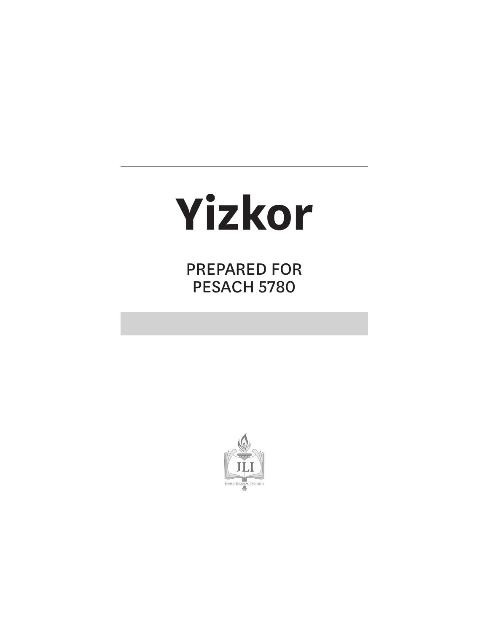# **Yizkor**

PREPARED FOR PESACH 5780

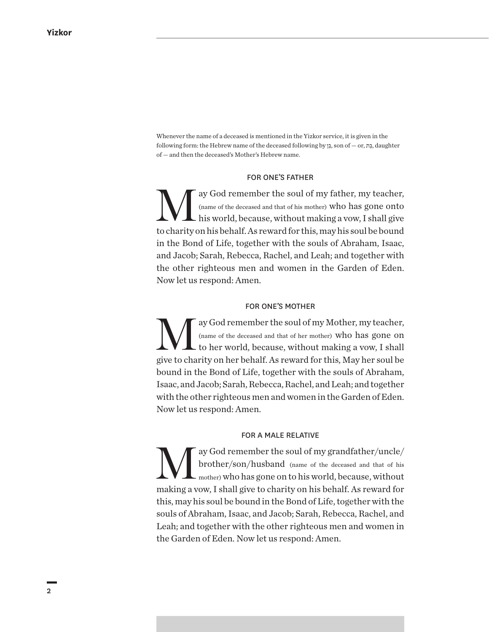Whenever the name of a deceased is mentioned in the Yizkor service, it is given in the following form: the Hebrew name of the deceased following by בןּ ֵ, son of — or, בתּ ַ, daughter of — and then the deceased's Mother's Hebrew name.

#### FOR ONE'S FATHER

ay God remember the soul of my father, my teacher, (name of the deceased and that of his mother) who has gone onto his world, because, without making a vow, I shall give to charity on his behalf. As reward for this, may his soul be bound in the Bond of Life, together with the souls of Abraham, Isaac, and Jacob; Sarah, Rebecca, Rachel, and Leah; and together with the other righteous men and women in the Garden of Eden. Now let us respond: Amen.

#### FOR ONE'S MOTHER

ay God remember the soul of my Mother, my teacher,  $\sum_{\text{name of the decased and that of her mother}}$  who has gone on to her world, because, without making a vow, I shall (name of the deceased and that of her mother) who has gone on give to charity on her behalf. As reward for this, May her soul be bound in the Bond of Life, together with the souls of Abraham, Isaac, and Jacob; Sarah, Rebecca, Rachel, and Leah; and together with the other righteous men and women in the Garden of Eden. Now let us respond: Amen.

#### FOR A MALE RELATIVE

ay God remember the soul of my grandfather/uncle/ brother/son/husband (name of the deceased and that of his mother) who has gone on to his world, because, without making a vow, I shall give to charity on his behalf. As reward for this, may his soul be bound in the Bond of Life, together with the souls of Abraham, Isaac, and Jacob; Sarah, Rebecca, Rachel, and Leah; and together with the other righteous men and women in the Garden of Eden. Now let us respond: Amen.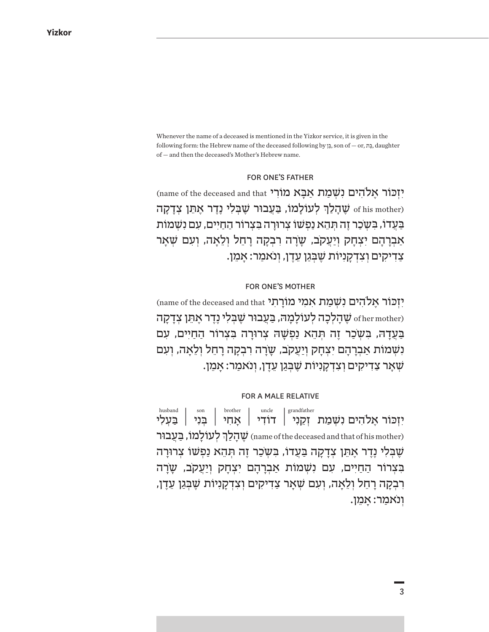Whenever the name of a deceased is mentioned in the Yizkor service, it is given in the following form: the Hebrew name of the deceased following by בןּ ֵ, son of — or, בתּ ַ, daughter of — and then the deceased's Mother's Hebrew name.

#### FOR ONE'S FATHER

יִזְכּוֹר אֵלהִים נְשָׁמַת אָבָא מוֹרִי name of the deceased and that ׇׅ֧֧֓<u>֚</u> ָ סְהַלַךְ לְעוֹלָמוֹ, בַּעֲבוּר שֶׁבְּלִי נֶדֶר אָתֵן צְדָקָה of his mother) בּעדוֹ, בַּשׂכר זה תִהא נפשוֹ צרוּרה בּצרוֹר החיים, עם נשמות אַבְרָהָם יִצְחָק וְיַעֲקֹב, שָׂיָרָה רִבְקָה רָחֵל וִלֵאָה, וִעָם שָׁאַר ַצְדִיקִים וְצִדְקַנִיוֹת שֵׁבְּגַן עֶדֵן, וְנֹאמַר: אַמֵן.

#### FOR ONE'S MOTHER

יִזְכּוֹר אֵלהִים נִשְׁמַת אִמִי מוֹרַתִי name of the deceased and that  $\frac{1}{2}$ שׁ  $\frac{1}{2}$ לְכָה לְעוֹלָמֵהּ, בַּעֲבוּר שַׁבְּלִי נֶדֶר אַתֵּן צִדַקַה  $\frac{1}{2}$ בַּעֲדָהּ, בִּשְׁכַר זֶה תְּהֵא נַפְשָׁה צְרוּרָה בִּצִרוֹר הַחַיִּים, עִם נִשְׁמוֹת אַבְרַהַם יִצְחַק וְיַעֲקֹב, שַׂרַה רִבְקָה רַחֱל וְלֵאֲה, וְעָם .שֹאר צדיקים וצדקניות שבגן עדן, ונאמר: אמן

#### FOR A MALE RELATIVE

יִזְכּוֹר אֵלהִים נִשָׁמַת זִקֵנִי | דוֹדִי | אָחִי | בִּנִי | בַּעָלִי ׇׅ֧֧֧֢ׅ֖֖֖֖֖֧֚֚֚֚֚֓֝֬<u>֚</u> ָ שְׁהָלַךְ לְעוֹלָמוֹ, בַּעֲבוּר (name of the deceased and that of his mother) ְשָׁבְּלִי נֶדֵר אַתֵּן צִדַקָה בַּעֲדוֹ, בַּשַׂכֵר זֶה תִּהָא נַפְשׁוֹ צִרוּרה בִּצְרוֹר הַחַיִּים, עִם נִשָׁמוֹת אַבְרָהָם יְצִחָק וְיַעֲקִב, שָׂרָה ָרִבְקָה רַחֵל וִלֵאַה, וִעִם שִׁאַר צַדִיקִים וִצְדְקַנִיוֹת שֵׁבְגֵן עֶדֵן, וְנֹאמֵר: אֲמֵן. husband son brother uncle grandfather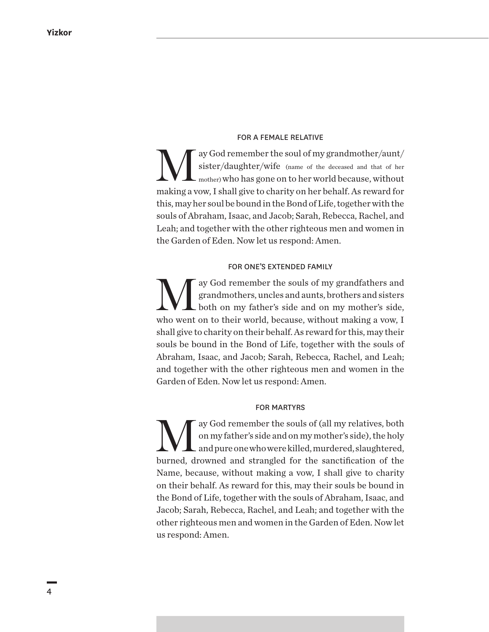#### FOR A FEMALE RELATIVE

ay God remember the soul of my grandmother/aunt/ sister/daughter/wife (name of the deceased and that of her mother) who has gone on to her world because, without making a vow, I shall give to charity on her behalf. As reward for this, may her soul be bound in the Bond of Life, together with the souls of Abraham, Isaac, and Jacob; Sarah, Rebecca, Rachel, and Leah; and together with the other righteous men and women in the Garden of Eden. Now let us respond: Amen.

#### FOR ONE'S EXTENDED FAMILY

ay God remember the souls of my grandfathers and<br>grandmothers, uncles and aunts, brothers and sisters<br>both on my father's side and on my mother's side, grandmothers, uncles and aunts, brothers and sisters both on my father's side and on my mother's side, who went on to their world, because, without making a vow, I shall give to charity on their behalf. As reward for this, may their souls be bound in the Bond of Life, together with the souls of Abraham, Isaac, and Jacob; Sarah, Rebecca, Rachel, and Leah; and together with the other righteous men and women in the Garden of Eden. Now let us respond: Amen.

#### FOR MARTYRS

ay God remember the souls of (all my relatives, both on my father's side and on my mother's side), the holy and pure one who were killed, murdered, slaughtered, burned, drowned and strangled for the sanctification of the Name, because, without making a vow, I shall give to charity on their behalf. As reward for this, may their souls be bound in the Bond of Life, together with the souls of Abraham, Isaac, and Jacob; Sarah, Rebecca, Rachel, and Leah; and together with the other righteous men and women in the Garden of Eden. Now let us respond: Amen.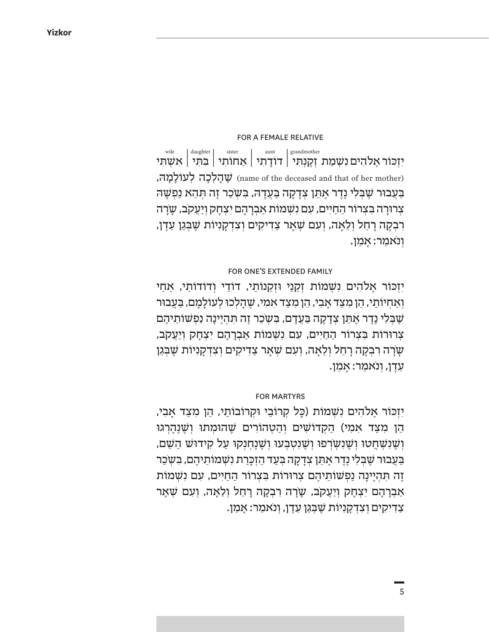#### FOR A FEMALE RELATIVE

יִזְכּוֹר אֶלהִים נִשְׁמַת זְקֶנְתִּי | דוֹדָתִי | אַחוֹתִי | בִּתִּי | אִשְׁתִּי שְׁהַלְכָה לְעוֹלַמַה, (name of the deceased and that of her mother) ַּבַּעֲבוּר שֶׁבִּלִי נֶדֶר אֶתֵן צִדָקָה בַּעֲדָהּ, בִּשְׂכַר זֶה תִּהֵא נַפִשָּׁה צרוּרַה בִּצְרוֹר הַחַיִּים, עָם נִשְׁמוֹת אַבְרַהַם יִצְחַק וְיַעֱקֹב, שַׂרַה ָרִבְקָה רַחֵל וִלֵאַה, וִעָם שִׁאַר צַדִיקִים וִצְדְקַנִיוֹת שֵׁבְּגַן עֶדֵן, וְנֹאמַר: אַמֵן. wife daughter sister aunt grandmother

#### FOR ONE'S EXTENDED FAMILY

יִזְכּוֹר אֶלהִים נִשָׁמוֹת זְקֵנַי וּזְקֵנוֹתַי, דוֹדַי וְדוֹדוֹתַי, אַחַי וְאַחְיוֹתַי, הֵן מִצַד אַבִי, הֵן מִצַד אִמִי, שֵׁהַלְכוּ לְעוֹלַמַם, בַּעֲבוּר שִׁבְּלִי נֶדֵר אֵתֵן צְדַקָה בַּעֲדַם, בִּשְׂכַר זֶה תְּהִיַינַה נַפְשׁוֹתֵיהֵם צְרוּרוֹת בְּצְרוֹר הַחַיִּים, עִם נְשָׁמוֹת אַבְרָהָם יְצִחָק וְיַעֲקֹב, ָשְׂרַה רִבְקָה רַחֲל וְלֵאֲה, וְעָם שָׁאַר צַדִיקִים וְצִדְקַנִיוֹת שֶׁבְּגַן ּעֲדֶן, וְנֹאמַר: אַמֵן.

#### FOR MARTYRS

יִזְכּוֹר אֶלֹהִים נִשְׁמוֹת (כָּל קְרוֹבַי וּקְרוֹבוֹתַי, הֵן מִצַד אָבִי, ְהֵן מִצַד אִמִי) הַקְדוֹשִׁים וְהַטְהוֹרִים שֵׁהוּמִתוּ וְשֶׁנֶהֶרְגוּ ָן יְשֶׁנְשָׁחֲטוּ וְשֶׁנְשְׂרְפוּ וְשֵׁנְטְבְּעוּ וְשֵׁנָחִנְקוּ עַל קִידוּשׁ הַשָּׁם, ַּבַּעֲבוּר שֶׁבְּלִי נֶדֶר אֶתֵן צְדָקָה בְּעַד הַזְכָּרַת נִשְׁמוֹתֵיהֶם, בִּשְ*ֹ*כַר ֶזֶה תְּהִיֵּינָה נַפִשׁוֹתֵיהֶם צִרוּרוֹת בִּצְרוֹר הַחַיִּים, עִם נִשְׁמוֹת אַבְרָהָם יִצְחָק וְיַעֲקֹב, שָׂרָה רְבָקָה רָחֵל וִלֵאָה, וְעָם שָׁאָר ָצִדִיקִים וְצִדְקָנִיוֹת שֶׁבְּגַן עֵדֶן, וְנֹאמַר: אָמֵן.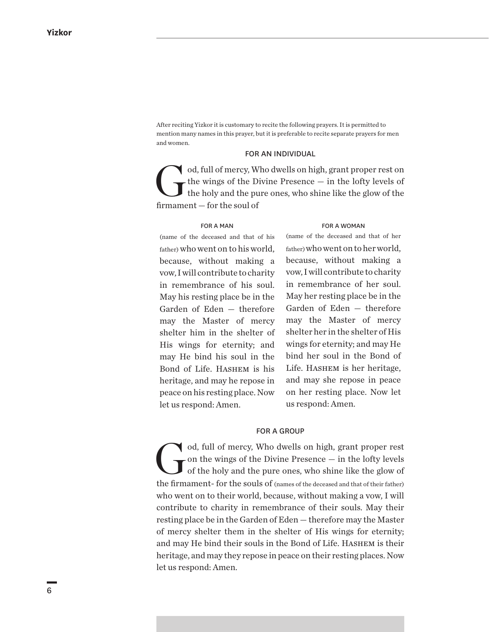After reciting Yizkor it is customary to recite the following prayers. It is permitted to mention many names in this prayer, but it is preferable to recite separate prayers for men and women.

#### FOR AN INDIVIDUAL

od, full of mercy, Who dwells on high, grant proper rest on the wings of the Divine Presence — in the lofty levels of the holy and the pure ones, who shine like the glow of the former than the scale of the wings of the Divine Presence — in the lofty levels of the holy and the pure ones, who shine like the glow of the firmament — for the soul of

#### FOR A MAN

### (name of the deceased and that of his father) who went on to his world, because, without making a vow, I will contribute to charity in remembrance of his soul. May his resting place be in the Garden of Eden — therefore may the Master of mercy shelter him in the shelter of His wings for eternity; and may He bind his soul in the Bond of Life. Hashem is his heritage, and may he repose in peace on his resting place. Now let us respond: Amen.

#### FOR A WOMAN

(name of the deceased and that of her father) who went on to her world, because, without making a vow, I will contribute to charity in remembrance of her soul. May her resting place be in the Garden of Eden — therefore may the Master of mercy shelter her in the shelter of His wings for eternity; and may He bind her soul in the Bond of Life. Hashem is her heritage, and may she repose in peace on her resting place. Now let us respond: Amen.

#### FOR A GROUP

od, full of mercy, Who dwells on high, grant proper rest<br>on the wings of the Divine Presence — in the lofty levels<br>of the holy and the pure ones, who shine like the glow of on the wings of the Divine Presence — in the lofty levels of the holy and the pure ones, who shine like the glow of the firmament- for the souls of (names of the deceased and that of their father) who went on to their world, because, without making a vow, I will contribute to charity in remembrance of their souls. May their resting place be in the Garden of Eden — therefore may the Master of mercy shelter them in the shelter of His wings for eternity; and may He bind their souls in the Bond of Life. Hashem is their heritage, and may they repose in peace on their resting places. Now let us respond: Amen.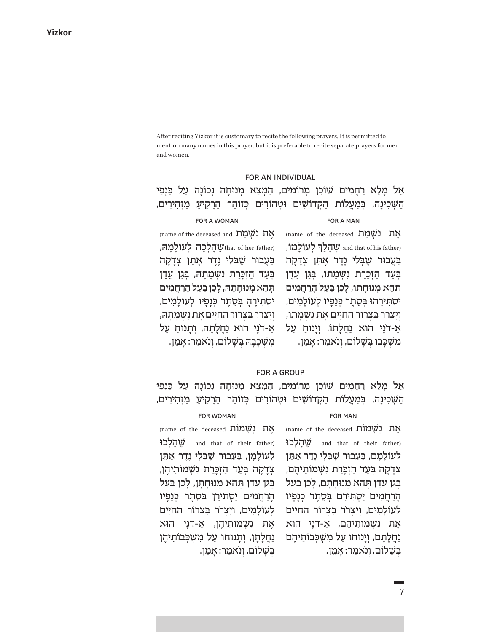After reciting Yizkor it is customary to recite the following prayers. It is permitted to mention many names in this prayer, but it is preferable to recite separate prayers for men and women.

#### FOR AN INDIVIDUAL

ְאֵל מְנוּחָה יִכוֹנָה עַל כַּנְפֵי - הַמְצֵא מְנוּחָה נְכוֹנָה עַל כַּנְפֵי ָהַשְׁכִינָה, בִּמַעֲלוֹת הַקְדוֹשִׁים וּטְהוֹרִים כְּזוֹהַר הָרָקִיעַ מַזְהִירִים,

#### FOR A MAN FOR A WOMAN

(name of the deceased  $\overline{\text{M}}$ עת נשמת ְ,שְׁהָלַךְ לְעוֹלְמוֹ, and that of his father) בִּעֲבוּר שֵׁבְּלִי נֵדֵר אֵתֵן צְדַקַה בְּעַד הַזְכְּרַת נִשְׁמָתוֹ, בְּגַן עֵדֶן תְּהֵא מְנוּחָתוֹ, לַכֵן בַּעֲל הַרַחֲמים ַיַּסְתִּירֵהוּ בְּסֵתֶר כְּנָפָיו לְעוֹלָמִים, \_\_יַסְתִירֶהָ בְּסֵתֶר כְּנָפָיו לְעוֹלָמִים, וִיצִרר בִּצְרוֹר הַחַיִּים אֵת נִשָׁמַתוֹ, ַא-דֹנַי הוּא נַחֲלַתוֹ, וְיַנוּחַ עַל מִשְׁכָּבוֹ בְּשָׁלוֹם, וְנֹאמַר: אָמֵן. (name of the deceased and  $\sum_{i=1}^{n}$ את נשמת וואַ הַלְכָה לְעוֹלַמַה, that of her father) ַבְּעֲבוּר *שֶׁבְּלִי נֶדֵר א*ָתֵן צְדַקַה בְּעַד הַזְכְּרַת *וִשְׁמָתָהּ,* בְּגַן עֵדֶן תְּהֵא מִנוּחַתַהּ, לַכֵן בַּעַל הַרַחֲמִים וִי ְצְרֹר בִ צְרוֹר הַחַיִּים אֶת נְשָׁמָתָה, ַא-דֹנִי הוּא נַחֲלָתָהּ, וְתַנוּחַ עַל ּמִשְׁכָּבָה בְּשָׁלוֹם, וְנֹאמַר: אָמֵן.

## FOR A GROUP

ְאֵל מְנוּחָה יִכוֹנָה עַל כַּנְפֵי - הַמְצֵא מְנוּחָה נְכוֹנָה עַל כַּנְפֵי ָהַשְׁכִינַה, בְּמַעֲלוֹת הַקְדוֹשִׁים וּטְהוֹרִים כְּזוֹהַר הַרַקִיעַ מַזְהִירִים,

#### FOR MAN

#### FOR WOMAN

אָת נִשְׁמוֹת (name of the deceased יָהַלְכוּ and that of their father) לְעוֹלַמַם, בַּעֲבוּר שֵׁבִּלִי נֶדֵר אֶתֵן צְדָקָה בְּעַד הַזְכָּרַת נִשְׁמוֹתֵיהֶם, ּבְּגַן עֶדֶן תִּהָא מִנוּחַתַם, לַכֶן בַּעַל הַרַחֲמִים יַסְתִּירֶם בְּסֶתֶר כְּנַפִּיוּ לְעוֹלָמִים, וְיִצְרֹר בִּצְרוֹר הַחֲיִים ָאֶת נִשָׁמוֹתֵיהֶם, אַ-דֹנַי הוּא נַחֲלָתַם, וְיַנוּחוּ עַל מִ*שְׁכְּבוֹתֵיה*ֵם ּבִשַׁלוֹם, וְנֹאמַר: אַמֵן.

אָת נִשְׁמוֹת (name of the deceased name) הַלְכוּ and that of their father) לְעוֹלַמַן, בַּעֲבוּר שַׁבָּלִי נֶדֵר אַתֵּן צְדָקָה בְּעַד הַזְכָּרַת נִשְׁמוֹתֵיהֶן, ָ בְּגַן עֶדֶן תִּהֶא מְנוּחַתַן, לַכֶן בַּעַל ָהַרְחֲמִים יַסְתִּירֵן בְּסֶתֶר כְּנַפִּיו לְעוֹלַמִים, וִיִצְרֹר בִּצְרוֹר הַחֲיִים ָאֶת נִשָׁמוֹתֵיהֶן, אַ-דֹנַי הוּא ַנְחֲלָתַן, וְתַנוּחוּ עַל מְשָׁכְּבוֹתֵיהֵן ּבִשַׁלוֹם, וְנֹאמַר: אַמֵן.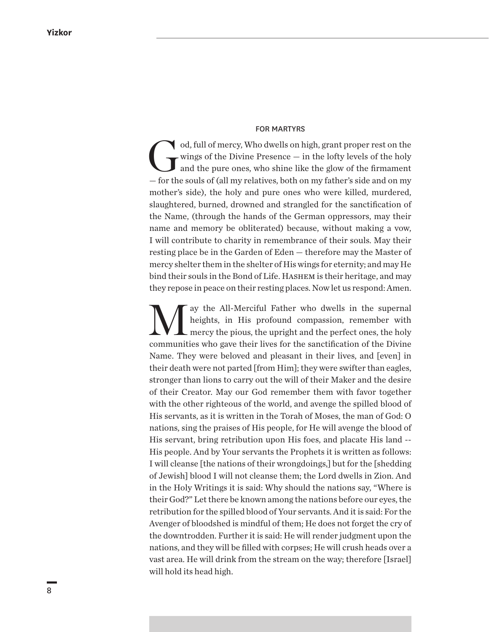#### FOR MARTYRS

od, full of mercy, Who dwells on high, grant proper rest on the wings of the Divine Presence — in the lofty levels of the holy and the pure ones, who shine like the glow of the firmament wings of the Divine Presence — in the lofty levels of the holy and the pure ones, who shine like the glow of the firmament — for the souls of (all my relatives, both on my father's side and on my mother's side), the holy and pure ones who were killed, murdered, slaughtered, burned, drowned and strangled for the sanctification of the Name, (through the hands of the German oppressors, may their name and memory be obliterated) because, without making a vow, I will contribute to charity in remembrance of their souls. May their resting place be in the Garden of Eden — therefore may the Master of mercy shelter them in the shelter of His wings for eternity; and may He bind their souls in the Bond of Life. HASHEM is their heritage, and may they repose in peace on their resting places. Now let us respond: Amen.

We all-Merciful Father who dwells in the supernal<br>heights, in His profound compassion, remember with<br>mercy the pious, the upright and the perfect ones, the holy heights, in His profound compassion, remember with mercy the pious, the upright and the perfect ones, the holy communities who gave their lives for the sanctification of the Divine Name. They were beloved and pleasant in their lives, and [even] in their death were not parted [from Him]; they were swifter than eagles, stronger than lions to carry out the will of their Maker and the desire of their Creator. May our God remember them with favor together with the other righteous of the world, and avenge the spilled blood of His servants, as it is written in the Torah of Moses, the man of God: O nations, sing the praises of His people, for He will avenge the blood of His servant, bring retribution upon His foes, and placate His land -- His people. And by Your servants the Prophets it is written as follows: I will cleanse [the nations of their wrongdoings,] but for the [shedding of Jewish] blood I will not cleanse them; the Lord dwells in Zion. And in the Holy Writings it is said: Why should the nations say, "Where is their God?" Let there be known among the nations before our eyes, the retribution for the spilled blood of Your servants. And it is said: For the Avenger of bloodshed is mindful of them; He does not forget the cry of the downtrodden. Further it is said: He will render judgment upon the nations, and they will be filled with corpses; He will crush heads over a vast area. He will drink from the stream on the way; therefore [Israel] will hold its head high.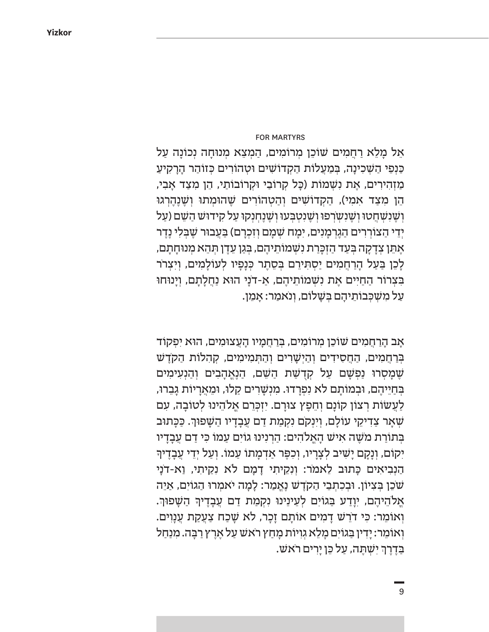#### FOR MARTYRS

ַאֲל מָלֵא רַחֲמִים שׁוֹכֵן מִרוֹמִים, הַמִצֵא מִנוּחָה נִכוֹנָה עַל כַּנְפֵי הַשָׁכִינָה, בִּמַעֲלוֹת הַקְדוֹשִׁים וּטְהוֹרִים כְּזוֹהַר הָרָקִיעַ ַ מַזְהִירִים, אֶת נִשְׁמוֹת (כָּל קְרוֹבַי וּקְרוֹבוֹתַי, הֵן מִצַד אָבִי, הֵן מִצַד אִמִי), הַקְדוֹשִׁים וְהַטְהוֹרִים שֶׁהוּמְתוּ וְשֶׁנֶהֶרְגוּ **וְשֵׁנְשָׁהֲטוּ וְשֶׁנְשִ**ׂרְפוּ וְשֶׁנְטְבְעוּ וְשֶׁנֶחִנְקוּ עַל קִידוּשׁ הַשֵּׁם (עַל יִדֵי הַצוֹרִרִים הַגֶּרְמַנִים, יִמַח שָׁמַם וִזִכְרַם) בַּעֲבוּר שֵׁבְלִי נֶדֵר ֿאָתֵן צְדָקָה בְּעַד הַזְכָּרַת נִשְׁמוֹתֵיהֶם, בְּגַן עֵדֶן תְּהֵא מְנוּחָתָם, ָלָכֵן בַּעַל הָרַחֲמִים יַסְתִּירֵם בִּסֶתֶר כִּנָפָיו לְעוֹלָמִים, וִיִצְרֹר ּבִּצְרוֹר הַחַיִּים אֶת נִשְׁמוֹתֵיהֶם, אַ-דֹנַי הוּא נַחֲלַתַם, וְיָנוּחוּ ַעַל מִשִׁכִּבוֹתֵיהָם בִּשָׁלוֹם, וְנֹאמַר: אָמֵן.

ָאֲב הַרַחֲמִים שׁוֹכֵן מְרוֹמִים, בְּרַחֲמִיו הַעֲצוּמִים, הוֹא יְפִקוֹד בְּרַחֲמִים, הַחֲסִידִים וְהַיִּשָׁרִים וְהַתְּמִימִים, קִהְלוֹת הַקֹדֵשׁ ָשֶׁמָסְרוּ נַפְשָׁם עַל קְדָשַׁת הַשֵּׁם, הַנֶאֱהָבִים וְהַנְעִימִים בְּחַיֵּיהֶם, וּבְמוֹתָם לא נִפְרָדוּ. מִנְשָׁרִים קַלוּ, וּמֵאֲרָיוֹת גָבֵרוּ, ַלַעֲשׂוֹת רְצוֹן קוֹנָם וְחֵפֶץ צוּרָם. יִזְכְּרֵם אֱלֹהֵינוּ לְטוֹבָה, עִם שְׁאָר צַדִיקֵי עוֹלָם, וְיִנְקֹם נִקְמַת דַם עֲבָדָיו הַשָּׁפוּךְ. כַּכָּתוּב ּבְתוֹרַת מֹשֶׁה אִישׁ הָאֵלהִים: הַרְנִינוּ גוֹיִם עַמוֹ כִּי דַם עַבָדָיו ָ יִקוֹם, וְנָקָם יָשִׁיב לְצָרָיו, וְכִפֶּר אַדְמָתוֹ עַמוֹ. וִעַל יִדֵי עֵבָדֵיךְ הַנְבִיאִים כָּתוּב לֵאמֹר: וְנִקֵיתִי דָמָם לֹא נִקֵיתִי, וַא-דֹנָי ְשֹׁכֵן בְּצִיוֹן. וּבְכִתְבֵי הַקֹדֶשׁ נֶאֱמַר: לָמָה יֹאמְרוּ הַגוֹיִם, אַיֵה ּאֱלֹהֵיהֶם, יִוָּדַע בַּגוֹיִם לְעֵינֵינוּ נִקְמַת דַם עֲבָדֶיךָ הַשָּׁפוּךְ. ָוְאוֹמֵר: כִּי דֹרֵשׁ דַמְים אוֹתַם זַכָר, לא שַׁכַח צַעֲקַת עֲנַוִים. וְאוֹמֵר: יָדִין בַּגוֹיִם מָלֵא גִוְיוֹת מָחַץ רֹאשׁ עַל אֶרֶץ רַבָּה. מִנַחַל בַּדֶרֶךְ יִשְׁתֶּה, עַל כֵּן יָרִים רֹאשׁ. ׇׅ֧֧֖֖֧֚֓֝֬֓֓֕֓֓֓֓֓֡֓֓֡֬֓֓֡֬֓֓֓֬֓֓֬֓֓֬֓֓֩֓֓֡֬֓֓֬